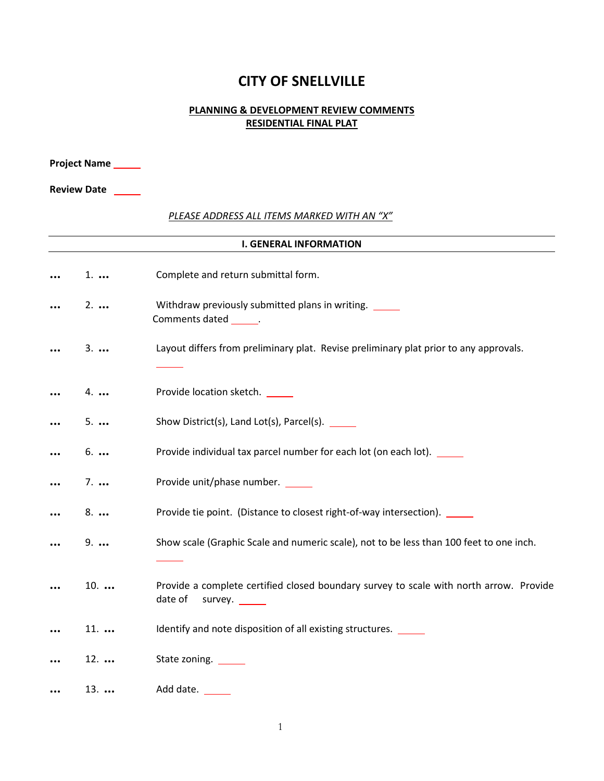## **CITY OF SNELLVILLE**

## **PLANNING & DEVELOPMENT REVIEW COMMENTS RESIDENTIAL FINAL PLAT**

|                    | <b>Project Name</b> |                                                                                                              |
|--------------------|---------------------|--------------------------------------------------------------------------------------------------------------|
| <b>Review Date</b> |                     |                                                                                                              |
|                    |                     | PLEASE ADDRESS ALL ITEMS MARKED WITH AN "X"                                                                  |
|                    |                     | <b>I. GENERAL INFORMATION</b>                                                                                |
|                    | $1. \ldots$         | Complete and return submittal form.                                                                          |
|                    | $2. \ldots$         | Withdraw previously submitted plans in writing. _____<br>Comments dated ______.                              |
|                    | $3. \ldots$         | Layout differs from preliminary plat. Revise preliminary plat prior to any approvals.                        |
|                    | $4. \ldots$         | Provide location sketch. _____                                                                               |
|                    | $5. \ldots$         | Show District(s), Land Lot(s), Parcel(s). ______                                                             |
|                    | $6. \ldots$         | Provide individual tax parcel number for each lot (on each lot). _____                                       |
|                    | $7. \ldots$         | Provide unit/phase number. _____                                                                             |
|                    | $8. \ldots$         | Provide tie point. (Distance to closest right-of-way intersection). _____                                    |
|                    | $9. \ldots$         | Show scale (Graphic Scale and numeric scale), not to be less than 100 feet to one inch.                      |
|                    | $10.$               | Provide a complete certified closed boundary survey to scale with north arrow. Provide<br>date of<br>survey. |
|                    | $11. \ldots$        | Identify and note disposition of all existing structures. _____                                              |
|                    | $12.$               | State zoning. ______                                                                                         |
|                    | $13. \ldots$        | Add date.                                                                                                    |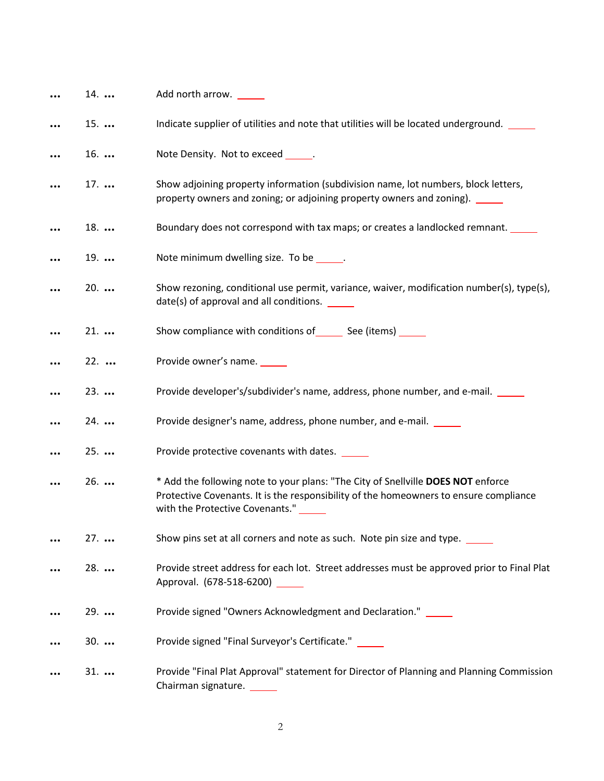| 14.   | Add north arrow.                                                                                                                                                                                                   |
|-------|--------------------------------------------------------------------------------------------------------------------------------------------------------------------------------------------------------------------|
| $15.$ | Indicate supplier of utilities and note that utilities will be located underground.                                                                                                                                |
| $16.$ | Note Density. Not to exceed ______.                                                                                                                                                                                |
| $17.$ | Show adjoining property information (subdivision name, lot numbers, block letters,<br>property owners and zoning; or adjoining property owners and zoning). _____                                                  |
| $18.$ | Boundary does not correspond with tax maps; or creates a landlocked remnant.                                                                                                                                       |
| $19.$ | Note minimum dwelling size. To be ______.                                                                                                                                                                          |
| $20.$ | Show rezoning, conditional use permit, variance, waiver, modification number(s), type(s),<br>date(s) of approval and all conditions. ______                                                                        |
| $21.$ | Show compliance with conditions of ________ See (items) _______                                                                                                                                                    |
| $22.$ | Provide owner's name.                                                                                                                                                                                              |
| $23.$ | Provide developer's/subdivider's name, address, phone number, and e-mail. ______                                                                                                                                   |
| $24.$ | Provide designer's name, address, phone number, and e-mail.                                                                                                                                                        |
| $25.$ | Provide protective covenants with dates.                                                                                                                                                                           |
| $26.$ | * Add the following note to your plans: "The City of Snellville DOES NOT enforce<br>Protective Covenants. It is the responsibility of the homeowners to ensure compliance<br>with the Protective Covenants." _____ |
| $27.$ | Show pins set at all corners and note as such. Note pin size and type.                                                                                                                                             |
| $28.$ | Provide street address for each lot. Street addresses must be approved prior to Final Plat<br>Approval. (678-518-6200)                                                                                             |
| $29.$ | Provide signed "Owners Acknowledgment and Declaration." _____                                                                                                                                                      |
| $30.$ | Provide signed "Final Surveyor's Certificate." _____                                                                                                                                                               |
| $31.$ | Provide "Final Plat Approval" statement for Director of Planning and Planning Commission<br>Chairman signature.                                                                                                    |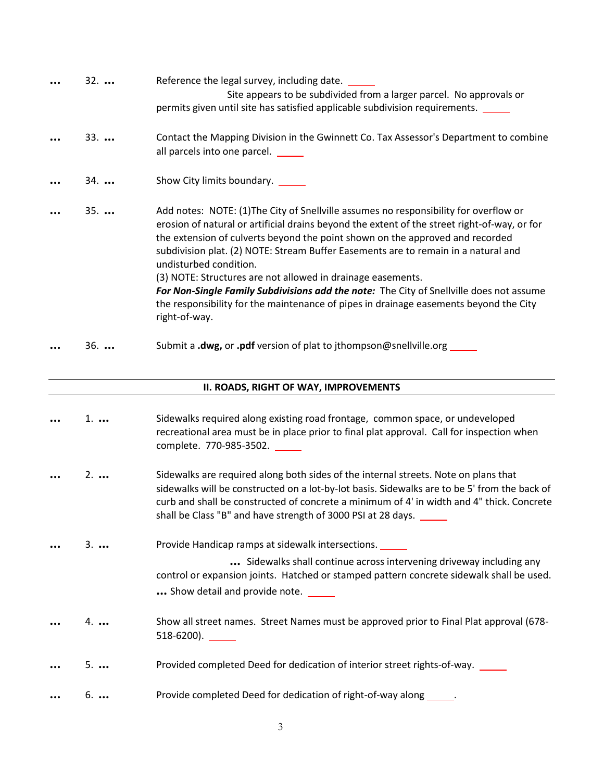| $32. \ldots$ | Reference the legal survey, including date.<br>Site appears to be subdivided from a larger parcel. No approvals or<br>permits given until site has satisfied applicable subdivision requirements.                                                                                                                                                                                                                                                                                                                                                                                                                                                          |
|--------------|------------------------------------------------------------------------------------------------------------------------------------------------------------------------------------------------------------------------------------------------------------------------------------------------------------------------------------------------------------------------------------------------------------------------------------------------------------------------------------------------------------------------------------------------------------------------------------------------------------------------------------------------------------|
| $33.$        | Contact the Mapping Division in the Gwinnett Co. Tax Assessor's Department to combine<br>all parcels into one parcel.                                                                                                                                                                                                                                                                                                                                                                                                                                                                                                                                      |
| $34.$        | Show City limits boundary.                                                                                                                                                                                                                                                                                                                                                                                                                                                                                                                                                                                                                                 |
| $35. \ldots$ | Add notes: NOTE: (1) The City of Snellville assumes no responsibility for overflow or<br>erosion of natural or artificial drains beyond the extent of the street right-of-way, or for<br>the extension of culverts beyond the point shown on the approved and recorded<br>subdivision plat. (2) NOTE: Stream Buffer Easements are to remain in a natural and<br>undisturbed condition.<br>(3) NOTE: Structures are not allowed in drainage easements.<br>For Non-Single Family Subdivisions add the note: The City of Snellville does not assume<br>the responsibility for the maintenance of pipes in drainage easements beyond the City<br>right-of-way. |
| $36.$        | Submit a .dwg, or .pdf version of plat to jthompson@snellville.org ______                                                                                                                                                                                                                                                                                                                                                                                                                                                                                                                                                                                  |

## **II. ROADS, RIGHT OF WAY, IMPROVEMENTS**

|          | $1. \ldots$ | Sidewalks required along existing road frontage, common space, or undeveloped<br>recreational area must be in place prior to final plat approval. Call for inspection when<br>complete. 770-985-3502.                                                                                                                                            |
|----------|-------------|--------------------------------------------------------------------------------------------------------------------------------------------------------------------------------------------------------------------------------------------------------------------------------------------------------------------------------------------------|
|          | $2. \ldots$ | Sidewalks are required along both sides of the internal streets. Note on plans that<br>sidewalks will be constructed on a lot-by-lot basis. Sidewalks are to be 5' from the back of<br>curb and shall be constructed of concrete a minimum of 4' in width and 4" thick. Concrete<br>shall be Class "B" and have strength of 3000 PSI at 28 days. |
|          | $3. \ldots$ | Provide Handicap ramps at sidewalk intersections.<br>Sidewalks shall continue across intervening driveway including any<br>control or expansion joints. Hatched or stamped pattern concrete sidewalk shall be used.<br>Show detail and provide note. _____                                                                                       |
|          | $4. \ldots$ | Show all street names. Street Names must be approved prior to Final Plat approval (678-<br>$518-6200$ ). ________                                                                                                                                                                                                                                |
| $\cdots$ | $5. \ldots$ | Provided completed Deed for dedication of interior street rights-of-way. _____                                                                                                                                                                                                                                                                   |
| $\cdots$ | $6. \ldots$ | Provide completed Deed for dedication of right-of-way along ______.                                                                                                                                                                                                                                                                              |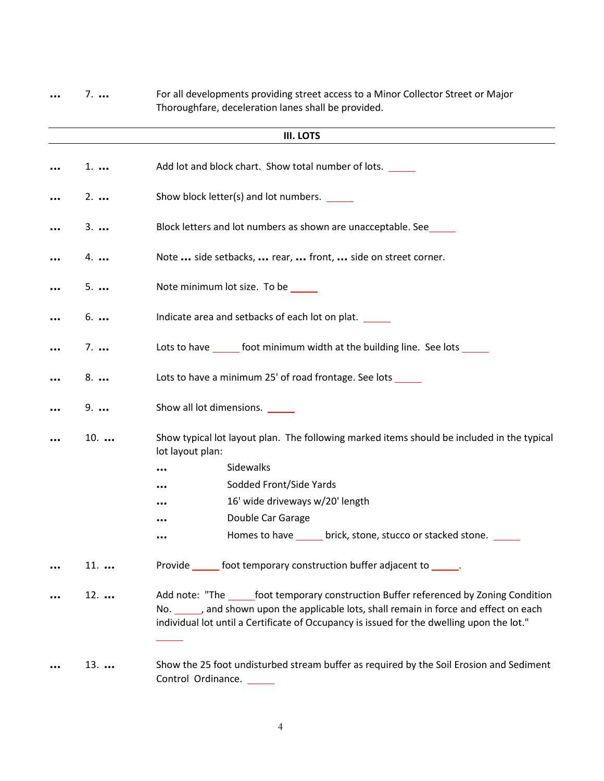| $7. \ldots$ | For all developments providing street access to a Minor Collector Street or Major<br>Thoroughfare, deceleration lanes shall be provided.                                                                                                                                |
|-------------|-------------------------------------------------------------------------------------------------------------------------------------------------------------------------------------------------------------------------------------------------------------------------|
|             | <b>III. LOTS</b>                                                                                                                                                                                                                                                        |
| $1. \ldots$ | Add lot and block chart. Show total number of lots.                                                                                                                                                                                                                     |
|             |                                                                                                                                                                                                                                                                         |
| $2. \ldots$ | Show block letter(s) and lot numbers.                                                                                                                                                                                                                                   |
| $3. \ldots$ | Block letters and lot numbers as shown are unacceptable. See                                                                                                                                                                                                            |
| 4           | Note  side setbacks,  rear,  front,  side on street corner.                                                                                                                                                                                                             |
| $5. \ldots$ | Note minimum lot size. To be _____                                                                                                                                                                                                                                      |
| $6. \ldots$ | Indicate area and setbacks of each lot on plat.                                                                                                                                                                                                                         |
| $7. \ldots$ | Lots to have _______ foot minimum width at the building line. See lots ______                                                                                                                                                                                           |
| 8           | Lots to have a minimum 25' of road frontage. See lots ______                                                                                                                                                                                                            |
| $9. \ldots$ | Show all lot dimensions. ______                                                                                                                                                                                                                                         |
| $10.$       | Show typical lot layout plan. The following marked items should be included in the typical<br>lot layout plan:                                                                                                                                                          |
|             | Sidewalks<br>                                                                                                                                                                                                                                                           |
|             | Sodded Front/Side Yards                                                                                                                                                                                                                                                 |
|             | 16' wide driveways w/20' length                                                                                                                                                                                                                                         |
|             | Double Car Garage                                                                                                                                                                                                                                                       |
|             | Homes to have ______ brick, stone, stucco or stacked stone. _____<br>                                                                                                                                                                                                   |
| $11.$       | Provide ______ foot temporary construction buffer adjacent to ______.                                                                                                                                                                                                   |
| $12.$       | Add note: "The ______foot temporary construction Buffer referenced by Zoning Condition<br>No. and shown upon the applicable lots, shall remain in force and effect on each<br>individual lot until a Certificate of Occupancy is issued for the dwelling upon the lot." |
| $13.$       | Show the 25 foot undisturbed stream buffer as required by the Soil Erosion and Sediment<br>Control Ordinance.                                                                                                                                                           |

4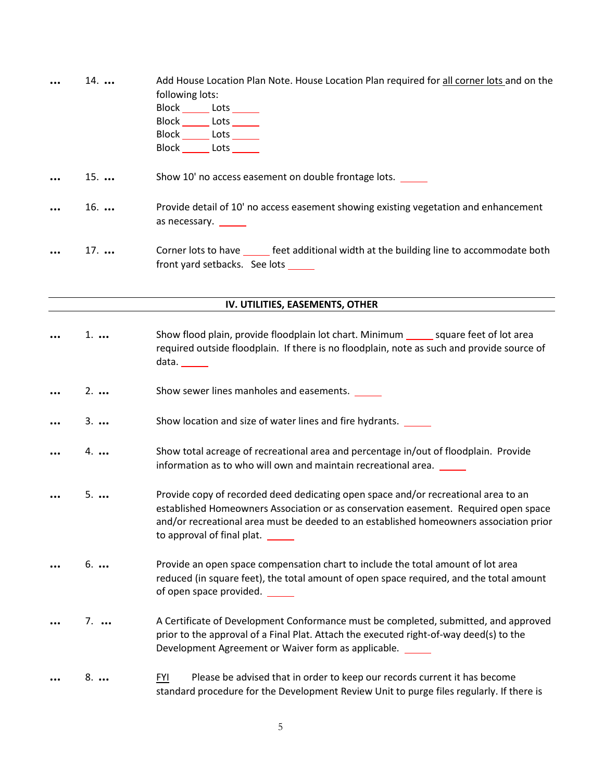| $14.$       | Add House Location Plan Note. House Location Plan required for all corner lots and on the                                                                                                                                                                                                         |
|-------------|---------------------------------------------------------------------------------------------------------------------------------------------------------------------------------------------------------------------------------------------------------------------------------------------------|
|             | following lots:                                                                                                                                                                                                                                                                                   |
|             | Block _______ Lots ______                                                                                                                                                                                                                                                                         |
|             | Block ______ Lots ______                                                                                                                                                                                                                                                                          |
|             | Block ______ Lots ______                                                                                                                                                                                                                                                                          |
|             | Block ______ Lots ______                                                                                                                                                                                                                                                                          |
| $15.$       | Show 10' no access easement on double frontage lots.                                                                                                                                                                                                                                              |
| $16.$       | Provide detail of 10' no access easement showing existing vegetation and enhancement<br>as necessary. ______                                                                                                                                                                                      |
| $17.$       | Corner lots to have _______ feet additional width at the building line to accommodate both<br>front yard setbacks. See lots _____                                                                                                                                                                 |
|             | IV. UTILITIES, EASEMENTS, OTHER                                                                                                                                                                                                                                                                   |
|             |                                                                                                                                                                                                                                                                                                   |
| $1. \ldots$ | Show flood plain, provide floodplain lot chart. Minimum _______ square feet of lot area<br>required outside floodplain. If there is no floodplain, note as such and provide source of<br>data. $\frac{1}{\sqrt{1-\frac{1}{2}}\cdot\frac{1}{\sqrt{1-\frac{1}{2}}}}$                                |
| $2. \ldots$ | Show sewer lines manholes and easements.                                                                                                                                                                                                                                                          |
| $3. \ldots$ | Show location and size of water lines and fire hydrants.                                                                                                                                                                                                                                          |
| $4. \ldots$ | Show total acreage of recreational area and percentage in/out of floodplain. Provide<br>information as to who will own and maintain recreational area. _____                                                                                                                                      |
| $5. \ldots$ | Provide copy of recorded deed dedicating open space and/or recreational area to an<br>established Homeowners Association or as conservation easement. Required open space<br>and/or recreational area must be deeded to an established homeowners association prior<br>to approval of final plat. |
| $6. \ldots$ | Provide an open space compensation chart to include the total amount of lot area<br>reduced (in square feet), the total amount of open space required, and the total amount<br>of open space provided. ______                                                                                     |
| $7. \ldots$ | A Certificate of Development Conformance must be completed, submitted, and approved<br>prior to the approval of a Final Plat. Attach the executed right-of-way deed(s) to the<br>Development Agreement or Waiver form as applicable.                                                              |
| 8.          | Please be advised that in order to keep our records current it has become<br><b>FYI</b><br>standard procedure for the Development Review Unit to purge files regularly. If there is                                                                                                               |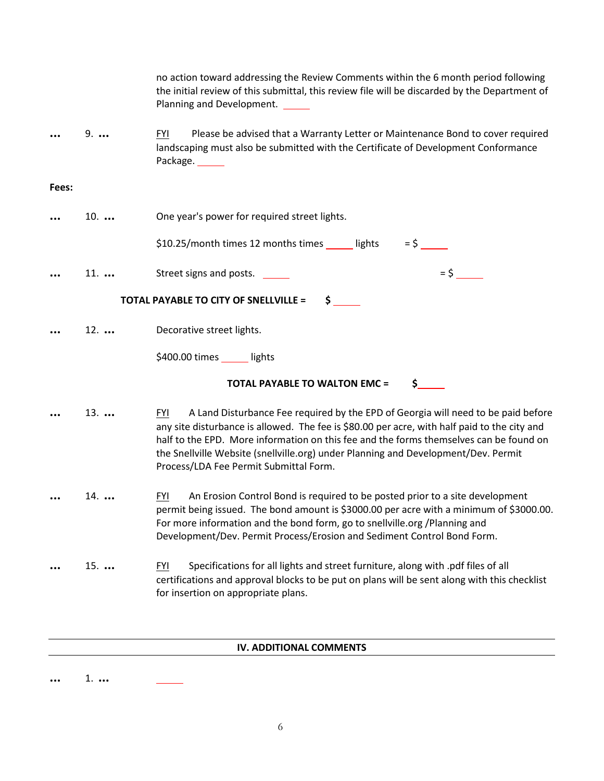|       |             | no action toward addressing the Review Comments within the 6 month period following<br>the initial review of this submittal, this review file will be discarded by the Department of<br>Planning and Development.                                                                                                                                                                                                         |
|-------|-------------|---------------------------------------------------------------------------------------------------------------------------------------------------------------------------------------------------------------------------------------------------------------------------------------------------------------------------------------------------------------------------------------------------------------------------|
|       | $9. \ldots$ | <b>FYI</b><br>Please be advised that a Warranty Letter or Maintenance Bond to cover required<br>landscaping must also be submitted with the Certificate of Development Conformance<br>Package.                                                                                                                                                                                                                            |
| Fees: |             |                                                                                                                                                                                                                                                                                                                                                                                                                           |
|       | $10.$       | One year's power for required street lights.                                                                                                                                                                                                                                                                                                                                                                              |
|       |             | \$10.25/month times 12 months times _____ lights<br>$=$ \$                                                                                                                                                                                                                                                                                                                                                                |
|       | $11.$       | $=$ \$<br>Street signs and posts.                                                                                                                                                                                                                                                                                                                                                                                         |
|       |             | TOTAL PAYABLE TO CITY OF SNELLVILLE =<br>$\mathsf{S}$ .                                                                                                                                                                                                                                                                                                                                                                   |
|       | $12.$       | Decorative street lights.                                                                                                                                                                                                                                                                                                                                                                                                 |
|       |             | \$400.00 times _____ lights                                                                                                                                                                                                                                                                                                                                                                                               |
|       |             | <b>TOTAL PAYABLE TO WALTON EMC =</b><br>$\sharp$ , and the set of $\sharp$                                                                                                                                                                                                                                                                                                                                                |
|       | $13.$       | A Land Disturbance Fee required by the EPD of Georgia will need to be paid before<br><b>FYI</b><br>any site disturbance is allowed. The fee is \$80.00 per acre, with half paid to the city and<br>half to the EPD. More information on this fee and the forms themselves can be found on<br>the Snellville Website (snellville.org) under Planning and Development/Dev. Permit<br>Process/LDA Fee Permit Submittal Form. |
|       | $14.$       | An Erosion Control Bond is required to be posted prior to a site development<br><u>FYI</u><br>permit being issued. The bond amount is \$3000.00 per acre with a minimum of \$3000.00.<br>For more information and the bond form, go to snellville.org /Planning and<br>Development/Dev. Permit Process/Erosion and Sediment Control Bond Form.                                                                            |
|       | $15.$       | Specifications for all lights and street furniture, along with .pdf files of all<br><b>FYI</b><br>certifications and approval blocks to be put on plans will be sent along with this checklist<br>for insertion on appropriate plans.                                                                                                                                                                                     |

## **IV. ADDITIONAL COMMENTS**

**...** 1. **...**